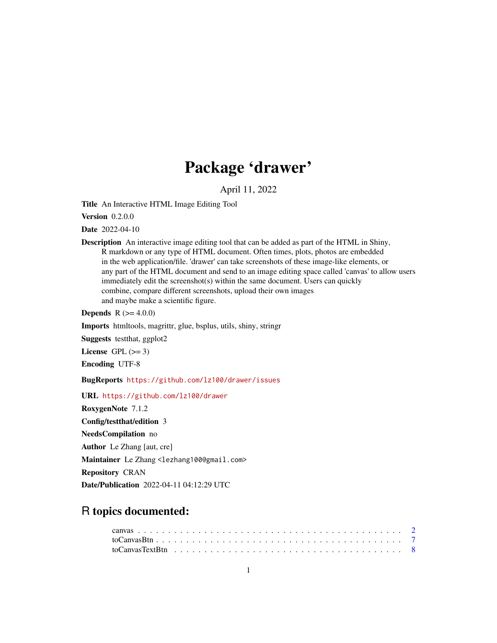## Package 'drawer'

April 11, 2022

<span id="page-0-0"></span>Title An Interactive HTML Image Editing Tool

**Version** 0.2.0.0

Date 2022-04-10

Description An interactive image editing tool that can be added as part of the HTML in Shiny, R markdown or any type of HTML document. Often times, plots, photos are embedded in the web application/file. 'drawer' can take screenshots of these image-like elements, or any part of the HTML document and send to an image editing space called 'canvas' to allow users immediately edit the screenshot(s) within the same document. Users can quickly combine, compare different screenshots, upload their own images and maybe make a scientific figure.

**Depends**  $R (= 4.0.0)$ 

Imports htmltools, magrittr, glue, bsplus, utils, shiny, stringr

Suggests testthat, ggplot2

License GPL  $(>= 3)$ 

Encoding UTF-8

BugReports <https://github.com/lz100/drawer/issues>

URL <https://github.com/lz100/drawer>

RoxygenNote 7.1.2 Config/testthat/edition 3 NeedsCompilation no Author Le Zhang [aut, cre] Maintainer Le Zhang <lezhang100@gmail.com> Repository CRAN

#### Date/Publication 2022-04-11 04:12:29 UTC

### R topics documented: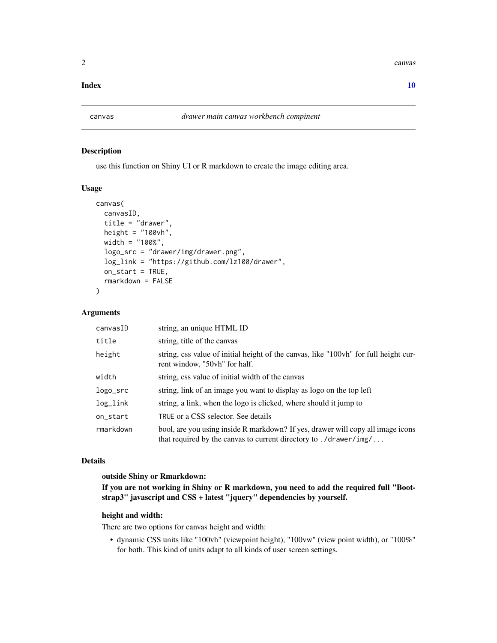<span id="page-1-0"></span> $2 \cos \theta$  canvas

#### $\blacksquare$

#### Description

use this function on Shiny UI or R markdown to create the image editing area.

#### Usage

```
canvas(
  canvasID,
  title = "drawer",
 height = "100vh",
 width = "100%",
  logo_src = "drawer/img/drawer.png",
  log_link = "https://github.com/lz100/drawer",
  on_start = TRUE,
  rmarkdown = FALSE
)
```
#### Arguments

| canvasID  | string, an unique HTML ID                                                                                                                                        |
|-----------|------------------------------------------------------------------------------------------------------------------------------------------------------------------|
| title     | string, title of the canvas                                                                                                                                      |
| height    | string, css value of initial height of the canvas, like "100vh" for full height cur-<br>rent window, "50vh" for half.                                            |
| width     | string, css value of initial width of the canvas                                                                                                                 |
| logo_src  | string, link of an image you want to display as logo on the top left                                                                                             |
| log_link  | string, a link, when the logo is clicked, where should it jump to                                                                                                |
| on_start  | TRUE or a CSS selector. See details                                                                                                                              |
| rmarkdown | bool, are you using inside R markdown? If yes, drawer will copy all image icons<br>that required by the canvas to current directory to $./$ drawer/img/ $\ldots$ |

#### Details

#### outside Shiny or Rmarkdown:

If you are not working in Shiny or R markdown, you need to add the required full "Bootstrap3" javascript and CSS + latest "jquery" dependencies by yourself.

#### height and width:

There are two options for canvas height and width:

• dynamic CSS units like "100vh" (viewpoint height), "100vw" (view point width), or "100%" for both. This kind of units adapt to all kinds of user screen settings.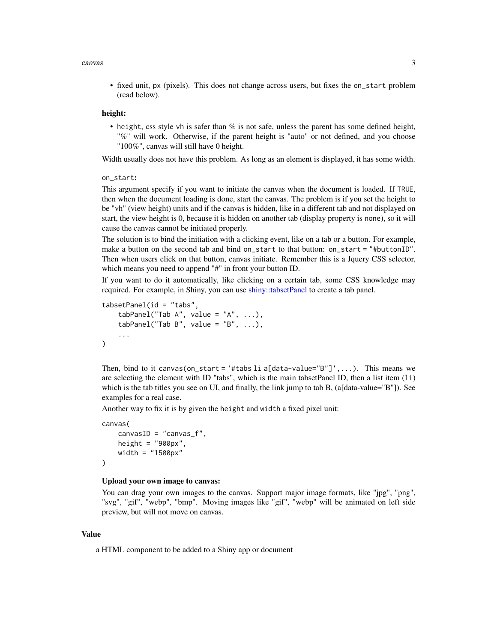#### <span id="page-2-0"></span>canvas  $\sim$  3

• fixed unit, px (pixels). This does not change across users, but fixes the on\_start problem (read below).

#### height:

• height, css style vh is safer than  $\%$  is not safe, unless the parent has some defined height, "%" will work. Otherwise, if the parent height is "auto" or not defined, and you choose "100%", canvas will still have 0 height.

Width usually does not have this problem. As long as an element is displayed, it has some width.

on\_start:

This argument specify if you want to initiate the canvas when the document is loaded. If TRUE, then when the document loading is done, start the canvas. The problem is if you set the height to be "vh" (view height) units and if the canvas is hidden, like in a different tab and not displayed on start, the view height is 0, because it is hidden on another tab (display property is none), so it will cause the canvas cannot be initiated properly.

The solution is to bind the initiation with a clicking event, like on a tab or a button. For example, make a button on the second tab and bind on\_start to that button: on\_start = "#buttonID". Then when users click on that button, canvas initiate. Remember this is a Jquery CSS selector, which means you need to append "#" in front your button ID.

If you want to do it automatically, like clicking on a certain tab, some CSS knowledge may required. For example, in Shiny, you can use [shiny::tabsetPanel](#page-0-0) to create a tab panel.

```
tabsetPanel(id = "tabs",tabPanel("Tab A", value = "A", \ldots),
    tabPanel("Tab B", value = "B", ...),...
)
```
Then, bind to it canvas(on\_start = '#tabs li a[data-value=" $B''$ ]',...). This means we are selecting the element with ID "tabs", which is the main tabsetPanel ID, then a list item (li) which is the tab titles you see on UI, and finally, the link jump to tab B, (a[data-value="B"]). See examples for a real case.

Another way to fix it is by given the height and width a fixed pixel unit:

```
canvas(
    canvasID = "canvas_f",
    height = "900px".
    width = "1500px"
)
```
#### Upload your own image to canvas:

You can drag your own images to the canvas. Support major image formats, like "jpg", "png", "svg", "gif", "webp", "bmp". Moving images like "gif", "webp" will be animated on left side preview, but will not move on canvas.

#### Value

a HTML component to be added to a Shiny app or document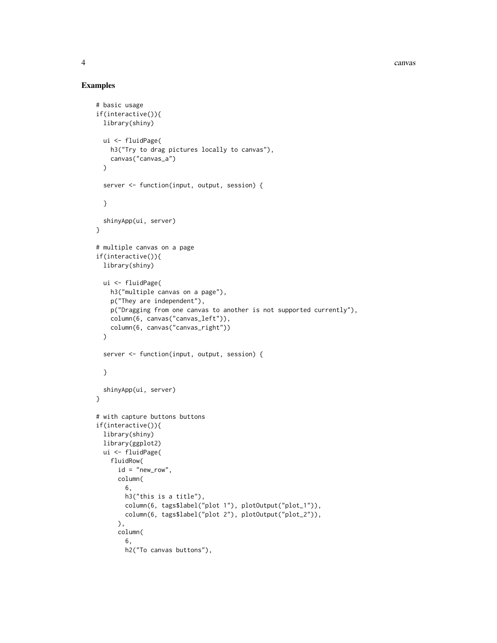4 canvas

#### Examples

```
# basic usage
if(interactive()){
  library(shiny)
  ui <- fluidPage(
   h3("Try to drag pictures locally to canvas"),
   canvas("canvas_a")
  )
  server <- function(input, output, session) {
  }
  shinyApp(ui, server)
}
# multiple canvas on a page
if(interactive()){
  library(shiny)
 ui <- fluidPage(
   h3("multiple canvas on a page"),
   p("They are independent"),
   p("Dragging from one canvas to another is not supported currently"),
   column(6, canvas("canvas_left")),
   column(6, canvas("canvas_right"))
  \lambdaserver <- function(input, output, session) {
  }
  shinyApp(ui, server)
}
# with capture buttons buttons
if(interactive()){
  library(shiny)
  library(ggplot2)
  ui <- fluidPage(
    fluidRow(
      id = "new_row",
      column(
        6,
        h3("this is a title"),
        column(6, tags$label("plot 1"), plotOutput("plot_1")),
        column(6, tags$label("plot 2"), plotOutput("plot_2")),
      ),
      column(
        6,
        h2("To canvas buttons"),
```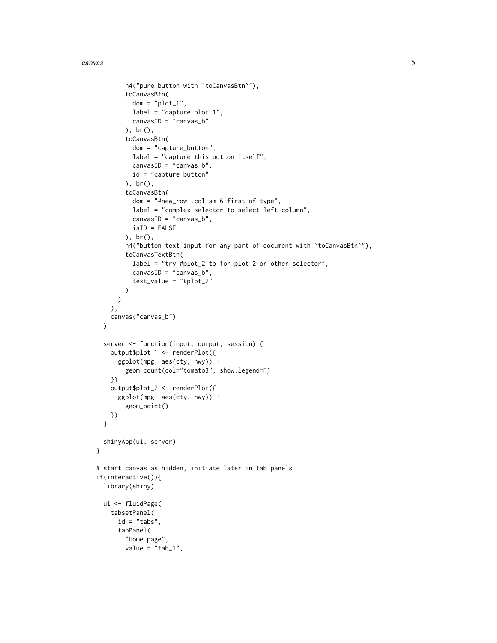#### canvas 5

```
h4("pure button with `toCanvasBtn`"),
        toCanvasBtn(
          dom = "plot_1",label = "capture plot 1",
         canvasID = "canvas_b"
        ), br(),
        toCanvasBtn(
         dom = "capture_button",
         label = "capture this button itself",
         canvasID = "canvas_b",
         id = "capture_button"
        ), br(),
        toCanvasBtn(
          dom = "#new_row .col-sm-6:first-of-type",
         label = "complex selector to select left column",
         canvasID = "canvas_b",
         isID = FALSE), br(),
       h4("button text input for any part of document with `toCanvasBtn`"),
        toCanvasTextBtn(
         label = "try #plot_2 to for plot 2 or other selector",
         canvasID = "canvas_b",
         text_value = "#plot_2"
       )
     )
   ),
   canvas("canvas_b")
 \lambdaserver <- function(input, output, session) {
   output$plot_1 <- renderPlot({
     ggplot(mpg, aes(cty, hwy)) +
        geom_count(col="tomato3", show.legend=F)
   })
   output$plot_2 <- renderPlot({
     ggplot(mpg, aes(cty, hwy)) +
       geom_point()
   })
 }
 shinyApp(ui, server)
}
# start canvas as hidden, initiate later in tab panels
if(interactive()){
 library(shiny)
 ui <- fluidPage(
   tabsetPanel(
     id = "tabs",tabPanel(
        "Home page",
        value = "tab_1",
```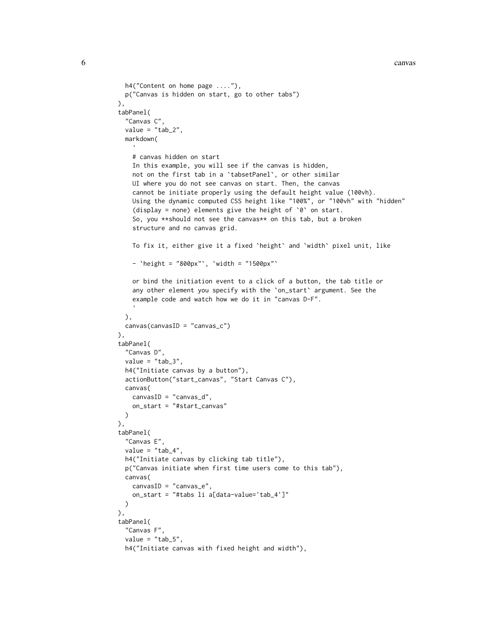```
h4("Content on home page ...."),
 p("Canvas is hidden on start, go to other tabs")
),
tabPanel(
  "Canvas C",
  value = "tab_2",markdown(
    # canvas hidden on start
   In this example, you will see if the canvas is hidden,
    not on the first tab in a `tabsetPanel`, or other similar
   UI where you do not see canvas on start. Then, the canvas
    cannot be initiate properly using the default height value (100vh).
    Using the dynamic computed CSS height like "100%", or "100vh" with "hidden"
    (display = none) elements give the height of \degree0\degree on start.
    So, you **should not see the canvas** on this tab, but a broken
    structure and no canvas grid.
   To fix it, either give it a fixed `height` and `width` pixel unit, like
    - 'height = "800px"', 'width = "1500px"'
    or bind the initiation event to a click of a button, the tab title or
    any other element you specify with the `on_start` argument. See the
    example code and watch how we do it in "canvas D-F".
  ),
  canvas(canvasID = "canvas_c")
),
tabPanel(
  "Canvas D",
  value = "tab_3",h4("Initiate canvas by a button"),
  actionButton("start_canvas", "Start Canvas C"),
  canvas(
   canvasID = "canvas_d",
   on_start = "#start_canvas"
 )
),
tabPanel(
  "Canvas E",
  value = "tab_4",h4("Initiate canvas by clicking tab title"),
  p("Canvas initiate when first time users come to this tab"),
  canvas(
   canvasID = "canvas_e",
   on_start = "#tabs li a[data-value='tab_4']"
 )
),
tabPanel(
  "Canvas F",
  value = "tab_5",h4("Initiate canvas with fixed height and width"),
```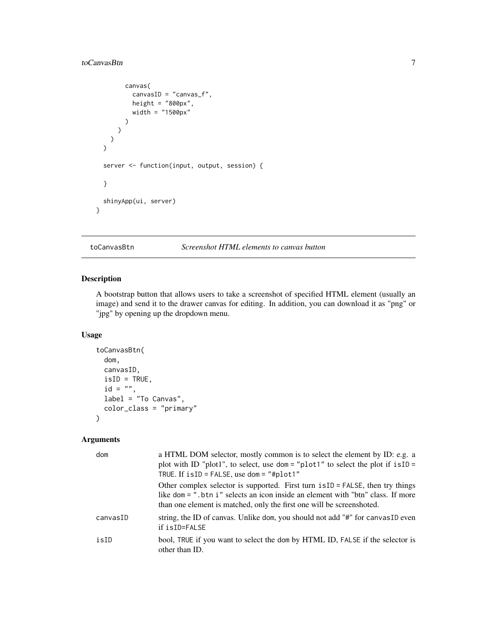#### <span id="page-6-0"></span>toCanvasBtn 7

```
canvas(
          canvasID = "canvas_f",
          height = "800px",
          width = "1500px"
        )
     )
   )
 \mathcal{L}server <- function(input, output, session) {
 }
 shinyApp(ui, server)
}
```
#### <span id="page-6-1"></span>toCanvasBtn *Screenshot HTML elements to canvas button*

#### Description

A bootstrap button that allows users to take a screenshot of specified HTML element (usually an image) and send it to the drawer canvas for editing. In addition, you can download it as "png" or "jpg" by opening up the dropdown menu.

#### Usage

```
toCanvasBtn(
  dom,
  canvasID,
  isID = TRUE,id = "",label = "To Canvas",
  color_class = "primary"
)
```
#### Arguments

| dom      | a HTML DOM selector, mostly common is to select the element by ID: e.g. a<br>plot with ID "plot1", to select, use dom = "plot1" to select the plot if $isID =$<br>TRUE. If $isID = FALSE$ , use dom = "#plot1"                              |
|----------|---------------------------------------------------------------------------------------------------------------------------------------------------------------------------------------------------------------------------------------------|
|          | Other complex selector is supported. First turn is ID = FALSE, then try things<br>like dom = ", btn i" selects an icon inside an element with "btn" class. If more<br>than one element is matched, only the first one will be screenshoted. |
| canvasID | string, the ID of canvas. Unlike dom, you should not add "#" for canvasID even<br>if is <b>ID</b> =FALSE                                                                                                                                    |
| isID     | bool, TRUE if you want to select the dom by HTML ID, FALSE if the selector is<br>other than ID.                                                                                                                                             |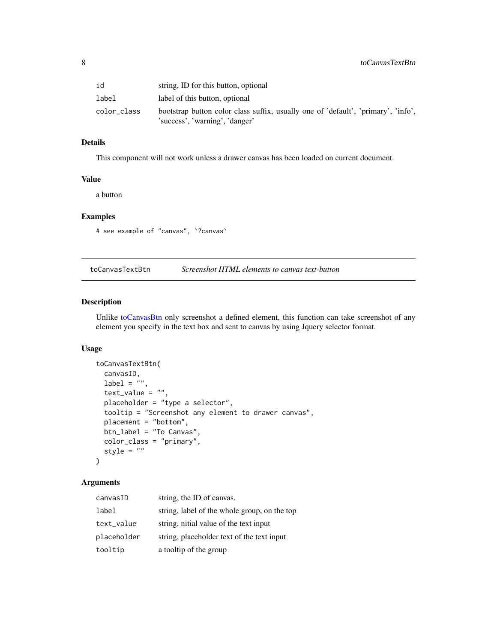<span id="page-7-0"></span>

| id          | string, ID for this button, optional                                                                                |
|-------------|---------------------------------------------------------------------------------------------------------------------|
| label       | label of this button, optional                                                                                      |
| color class | bootstrap button color class suffix, usually one of 'default', 'primary', 'info',<br>'success', 'warning', 'danger' |

#### Details

This component will not work unless a drawer canvas has been loaded on current document.

#### Value

a button

#### Examples

# see example of "canvas", `?canvas`

toCanvasTextBtn *Screenshot HTML elements to canvas text-button*

#### Description

Unlike [toCanvasBtn](#page-6-1) only screenshot a defined element, this function can take screenshot of any element you specify in the text box and sent to canvas by using Jquery selector format.

#### Usage

```
toCanvasTextBtn(
  canvasID,
  label = "",
  text_value = "",placeholder = "type a selector",
  tooltip = "Screenshot any element to drawer canvas",
 placement = "bottom",
 btn_label = "To Canvas",
  color_class = "primary",
 style = "\mathcal{L}
```
#### Arguments

| canvasID    | string, the ID of canvas.                    |
|-------------|----------------------------------------------|
| label       | string, label of the whole group, on the top |
| text_value  | string, nitial value of the text input       |
| placeholder | string, placeholder text of the text input   |
| tooltip     | a tooltip of the group                       |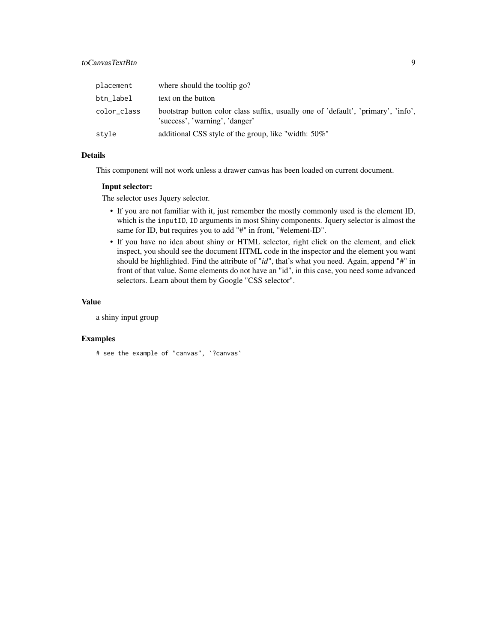| placement   | where should the tooltip go?                                                                                        |
|-------------|---------------------------------------------------------------------------------------------------------------------|
| btn_label   | text on the button                                                                                                  |
| color_class | bootstrap button color class suffix, usually one of 'default', 'primary', 'info',<br>'success', 'warning', 'danger' |
| style       | additional CSS style of the group, like "width: 50%"                                                                |

#### Details

This component will not work unless a drawer canvas has been loaded on current document.

#### Input selector:

The selector uses Jquery selector.

- If you are not familiar with it, just remember the mostly commonly used is the element ID, which is the inputID, ID arguments in most Shiny components. Jquery selector is almost the same for ID, but requires you to add "#" in front, "#element-ID".
- If you have no idea about shiny or HTML selector, right click on the element, and click inspect, you should see the document HTML code in the inspector and the element you want should be highlighted. Find the attribute of "*id*", that's what you need. Again, append "#" in front of that value. Some elements do not have an "id", in this case, you need some advanced selectors. Learn about them by Google "CSS selector".

#### Value

a shiny input group

#### Examples

```
# see the example of "canvas", `?canvas`
```